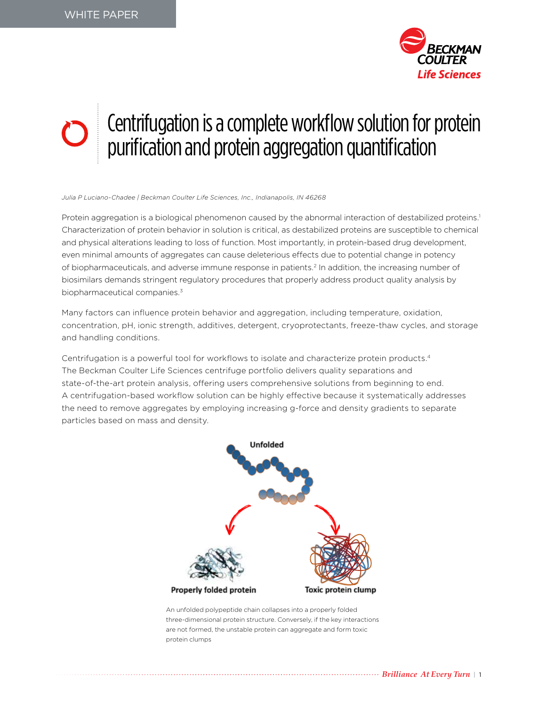

# Centrifugation is a complete workflow solution for protein purification and protein aggregation quantification

*Julia P Luciano-Chadee | Beckman Coulter Life Sciences, Inc., Indianapolis, IN 46268* 

Protein aggregation is a biological phenomenon caused by the abnormal interaction of destabilized proteins.<sup>1</sup> Characterization of protein behavior in solution is critical, as destabilized proteins are susceptible to chemical and physical alterations leading to loss of function. Most importantly, in protein-based drug development, even minimal amounts of aggregates can cause deleterious effects due to potential change in potency of biopharmaceuticals, and adverse immune response in patients.<sup>2</sup> In addition, the increasing number of biosimilars demands stringent regulatory procedures that properly address product quality analysis by biopharmaceutical companies.<sup>3</sup>

Many factors can influence protein behavior and aggregation, including temperature, oxidation, concentration, pH, ionic strength, additives, detergent, cryoprotectants, freeze-thaw cycles, and storage and handling conditions.

Centrifugation is a powerful tool for workflows to isolate and characterize protein products.4 The Beckman Coulter Life Sciences centrifuge portfolio delivers quality separations and state-of-the-art protein analysis, offering users comprehensive solutions from beginning to end. A centrifugation-based workflow solution can be highly effective because it systematically addresses the need to remove aggregates by employing increasing g-force and density gradients to separate particles based on mass and density.



An unfolded polypeptide chain collapses into a properly folded three-dimensional protein structure. Conversely, if the key interactions are not formed, the unstable protein can aggregate and form toxic protein clumps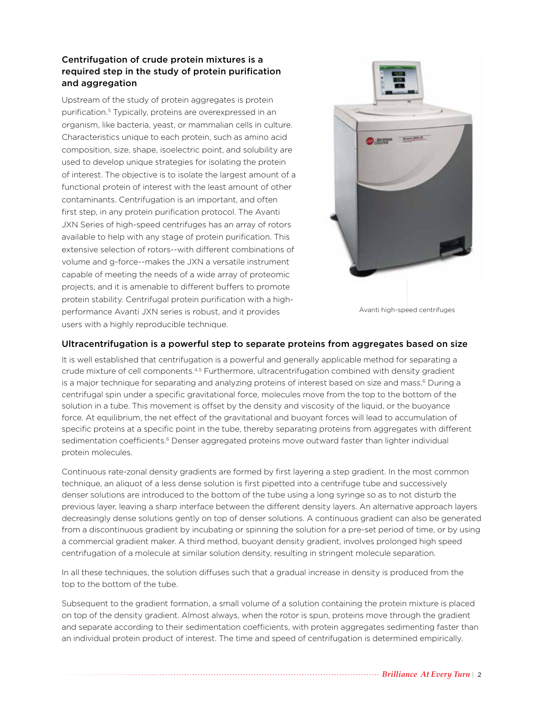## Centrifugation of crude protein mixtures is a required step in the study of protein purification and aggregation

Upstream of the study of protein aggregates is protein purification.<sup>5</sup> Typically, proteins are overexpressed in an organism, like bacteria, yeast, or mammalian cells in culture. Characteristics unique to each protein, such as amino acid composition, size, shape, isoelectric point, and solubility are used to develop unique strategies for isolating the protein of interest. The objective is to isolate the largest amount of a functional protein of interest with the least amount of other contaminants. Centrifugation is an important, and often first step, in any protein purification protocol. The Avanti JXN Series of high-speed centrifuges has an array of rotors available to help with any stage of protein purification. This extensive selection of rotors--with different combinations of volume and g-force--makes the JXN a versatile instrument capable of meeting the needs of a wide array of proteomic projects, and it is amenable to different buffers to promote protein stability. Centrifugal protein purification with a highperformance Avanti JXN series is robust, and it provides users with a highly reproducible technique.



Avanti high-speed centrifuges

#### Ultracentrifugation is a powerful step to separate proteins from aggregates based on size

It is well established that centrifugation is a powerful and generally applicable method for separating a crude mixture of cell components.<sup>4,5</sup> Furthermore, ultracentrifugation combined with density gradient is a major technique for separating and analyzing proteins of interest based on size and mass.<sup>6</sup> During a centrifugal spin under a specific gravitational force, molecules move from the top to the bottom of the solution in a tube. This movement is offset by the density and viscosity of the liquid, or the buoyance force. At equilibrium, the net effect of the gravitational and buoyant forces will lead to accumulation of specific proteins at a specific point in the tube, thereby separating proteins from aggregates with different sedimentation coefficients.<sup>6</sup> Denser aggregated proteins move outward faster than lighter individual protein molecules.

Continuous rate-zonal density gradients are formed by first layering a step gradient. In the most common technique, an aliquot of a less dense solution is first pipetted into a centrifuge tube and successively denser solutions are introduced to the bottom of the tube using a long syringe so as to not disturb the previous layer, leaving a sharp interface between the different density layers. An alternative approach layers decreasingly dense solutions gently on top of denser solutions. A continuous gradient can also be generated from a discontinuous gradient by incubating or spinning the solution for a pre-set period of time, or by using a commercial gradient maker. A third method, buoyant density gradient, involves prolonged high speed centrifugation of a molecule at similar solution density, resulting in stringent molecule separation.

In all these techniques, the solution diffuses such that a gradual increase in density is produced from the top to the bottom of the tube.

Subsequent to the gradient formation, a small volume of a solution containing the protein mixture is placed on top of the density gradient. Almost always, when the rotor is spun, proteins move through the gradient and separate according to their sedimentation coefficients, with protein aggregates sedimenting faster than an individual protein product of interest. The time and speed of centrifugation is determined empirically.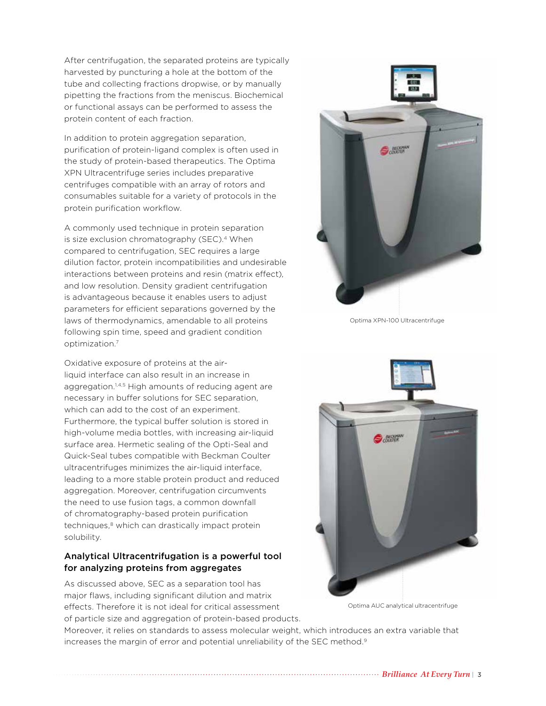After centrifugation, the separated proteins are typically harvested by puncturing a hole at the bottom of the tube and collecting fractions dropwise, or by manually pipetting the fractions from the meniscus. Biochemical or functional assays can be performed to assess the protein content of each fraction.

In addition to protein aggregation separation, purification of protein-ligand complex is often used in the study of protein-based therapeutics. The Optima XPN Ultracentrifuge series includes preparative centrifuges compatible with an array of rotors and consumables suitable for a variety of protocols in the protein purification workflow.

A commonly used technique in protein separation is size exclusion chromatography (SEC).<sup>4</sup> When compared to centrifugation, SEC requires a large dilution factor, protein incompatibilities and undesirable interactions between proteins and resin (matrix effect), and low resolution. Density gradient centrifugation is advantageous because it enables users to adjust parameters for efficient separations governed by the laws of thermodynamics, amendable to all proteins following spin time, speed and gradient condition optimization.7

Oxidative exposure of proteins at the airliquid interface can also result in an increase in aggregation.<sup>1,4,5</sup> High amounts of reducing agent are necessary in buffer solutions for SEC separation, which can add to the cost of an experiment. Furthermore, the typical buffer solution is stored in high-volume media bottles, with increasing air-liquid surface area. Hermetic sealing of the Opti-Seal and Quick-Seal tubes compatible with Beckman Coulter ultracentrifuges minimizes the air-liquid interface, leading to a more stable protein product and reduced aggregation. Moreover, centrifugation circumvents the need to use fusion tags, a common downfall of chromatography-based protein purification techniques,<sup>8</sup> which can drastically impact protein solubility.

## Analytical Ultracentrifugation is a powerful tool for analyzing proteins from aggregates

As discussed above, SEC as a separation tool has major flaws, including significant dilution and matrix effects. Therefore it is not ideal for critical assessment of particle size and aggregation of protein-based products.



Optima XPN-100 Ultracentrifuge



Optima AUC analytical ultracentrifuge

Moreover, it relies on standards to assess molecular weight, which introduces an extra variable that increases the margin of error and potential unreliability of the SEC method.<sup>9</sup>